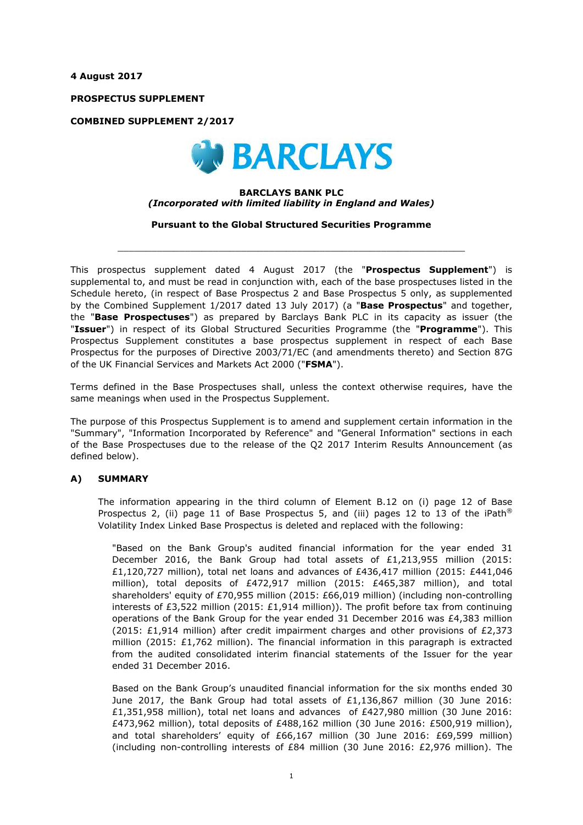**4 August 2017**

**PROSPECTUS SUPPLEMENT**

**COMBINED SUPPLEMENT 2/2017**



#### **BARCLAYS BANK PLC** *(Incorporated with limited liability in England and Wales)*

**Pursuant to the Global Structured Securities Programme**

 $\_$  ,  $\_$  ,  $\_$  ,  $\_$  ,  $\_$  ,  $\_$  ,  $\_$  ,  $\_$  ,  $\_$  ,  $\_$  ,  $\_$  ,  $\_$  ,  $\_$  ,  $\_$  ,  $\_$  ,  $\_$  ,  $\_$  ,  $\_$  ,  $\_$  ,  $\_$  ,  $\_$  ,  $\_$  ,  $\_$  ,  $\_$  ,  $\_$  ,  $\_$  ,  $\_$  ,  $\_$  ,  $\_$  ,  $\_$  ,  $\_$  ,  $\_$  ,  $\_$  ,  $\_$  ,  $\_$  ,  $\_$  ,  $\_$  ,

This prospectus supplement dated 4 August 2017 (the "**Prospectus Supplement**") is supplemental to, and must be read in conjunction with, each of the base prospectuses listed in the Schedule hereto, (in respect of Base Prospectus 2 and Base Prospectus 5 only, as supplemented by the Combined Supplement 1/2017 dated 13 July 2017) (a "**Base Prospectus**" and together, the "**Base Prospectuses**") as prepared by Barclays Bank PLC in its capacity as issuer (the "**Issuer**") in respect of its Global Structured Securities Programme (the "**Programme**"). This Prospectus Supplement constitutes a base prospectus supplement in respect of each Base Prospectus for the purposes of Directive 2003/71/EC (and amendments thereto) and Section 87G of the UK Financial Services and Markets Act 2000 ("**FSMA**").

Terms defined in the Base Prospectuses shall, unless the context otherwise requires, have the same meanings when used in the Prospectus Supplement.

The purpose of this Prospectus Supplement is to amend and supplement certain information in the "Summary", "Information Incorporated by Reference" and "General Information" sections in each of the Base Prospectuses due to the release of the Q2 2017 Interim Results Announcement (as defined below).

### **A) SUMMARY**

The information appearing in the third column of Element B.12 on (i) page 12 of Base Prospectus 2, (ii) page 11 of Base Prospectus 5, and (iii) pages 12 to 13 of the iPath<sup>®</sup> Volatility Index Linked Base Prospectus is deleted and replaced with the following:

"Based on the Bank Group's audited financial information for the year ended 31 December 2016, the Bank Group had total assets of £1,213,955 million (2015: £1,120,727 million), total net loans and advances of £436,417 million (2015: £441,046 million), total deposits of £472,917 million (2015: £465,387 million), and total shareholders' equity of £70,955 million (2015: £66,019 million) (including non-controlling interests of £3,522 million (2015: £1,914 million)). The profit before tax from continuing operations of the Bank Group for the year ended 31 December 2016 was £4,383 million (2015: £1,914 million) after credit impairment charges and other provisions of £2,373 million (2015: £1,762 million). The financial information in this paragraph is extracted from the audited consolidated interim financial statements of the Issuer for the year ended 31 December 2016.

Based on the Bank Group's unaudited financial information for the six months ended 30 June 2017, the Bank Group had total assets of £1,136,867 million (30 June 2016: £1,351,958 million), total net loans and advances of £427,980 million (30 June 2016: £473,962 million), total deposits of £488,162 million (30 June 2016: £500,919 million), and total shareholders' equity of £66,167 million (30 June 2016: £69,599 million) (including non-controlling interests of £84 million (30 June 2016: £2,976 million). The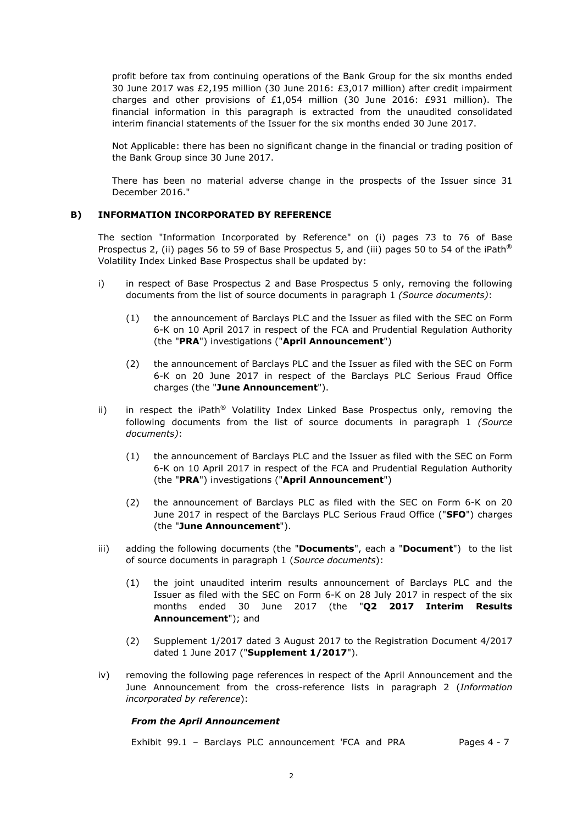profit before tax from continuing operations of the Bank Group for the six months ended 30 June 2017 was £2,195 million (30 June 2016: £3,017 million) after credit impairment charges and other provisions of £1,054 million (30 June 2016: £931 million). The financial information in this paragraph is extracted from the unaudited consolidated interim financial statements of the Issuer for the six months ended 30 June 2017.

Not Applicable: there has been no significant change in the financial or trading position of the Bank Group since 30 June 2017.

There has been no material adverse change in the prospects of the Issuer since 31 December 2016."

### **B) INFORMATION INCORPORATED BY REFERENCE**

The section "Information Incorporated by Reference" on (i) pages 73 to 76 of Base Prospectus 2, (ii) pages 56 to 59 of Base Prospectus 5, and (iii) pages 50 to 54 of the iPath<sup>®</sup> Volatility Index Linked Base Prospectus shall be updated by:

- i) in respect of Base Prospectus 2 and Base Prospectus 5 only, removing the following documents from the list of source documents in paragraph 1 *(Source documents)*:
	- (1) the announcement of Barclays PLC and the Issuer as filed with the SEC on Form 6-K on 10 April 2017 in respect of the FCA and Prudential Regulation Authority (the "**PRA**") investigations ("**April Announcement**")
	- (2) the announcement of Barclays PLC and the Issuer as filed with the SEC on Form 6-K on 20 June 2017 in respect of the Barclays PLC Serious Fraud Office charges (the "**June Announcement**").
- ii) in respect the iPath<sup>®</sup> Volatility Index Linked Base Prospectus only, removing the following documents from the list of source documents in paragraph 1 *(Source documents)*:
	- (1) the announcement of Barclays PLC and the Issuer as filed with the SEC on Form 6-K on 10 April 2017 in respect of the FCA and Prudential Regulation Authority (the "**PRA**") investigations ("**April Announcement**")
	- (2) the announcement of Barclays PLC as filed with the SEC on Form 6-K on 20 June 2017 in respect of the Barclays PLC Serious Fraud Office ("**SFO**") charges (the "**June Announcement**").
- iii) adding the following documents (the "**Documents**", each a "**Document**") to the list of source documents in paragraph 1 (*Source documents*):
	- (1) the joint unaudited interim results announcement of Barclays PLC and the Issuer as filed with the SEC on Form 6-K on 28 July 2017 in respect of the six months ended 30 June 2017 (the "**Q2 2017 Interim Results Announcement**"); and
	- (2) Supplement 1/2017 dated 3 August 2017 to the Registration Document 4/2017 dated 1 June 2017 ("**Supplement 1/2017**").
- iv) removing the following page references in respect of the April Announcement and the June Announcement from the cross-reference lists in paragraph 2 (*Information incorporated by reference*):

### *From the April Announcement*

Exhibit 99.1 - Barclays PLC announcement 'FCA and PRA Pages 4 - 7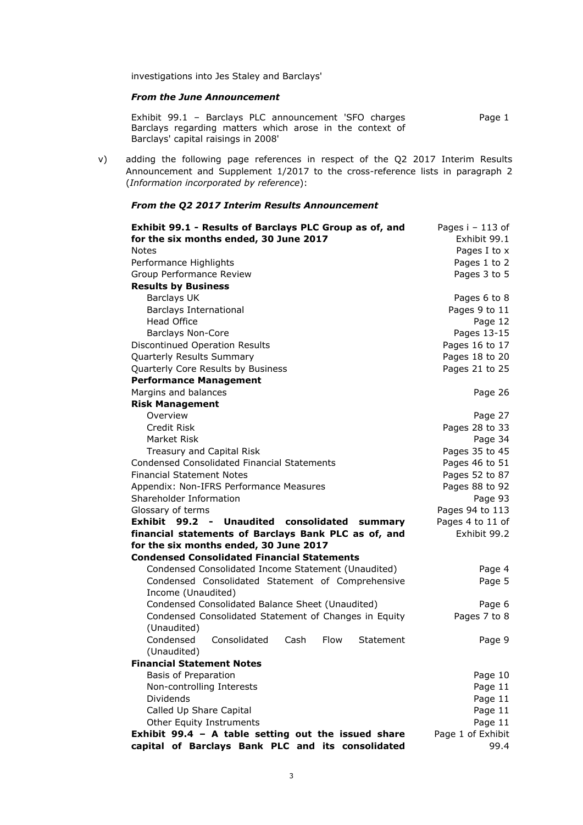investigations into Jes Staley and Barclays'

### *From the June Announcement*

Exhibit 99.1 – Barclays PLC announcement 'SFO charges Barclays regarding matters which arose in the context of Barclays' capital raisings in 2008' Page 1

v) adding the following page references in respect of the Q2 2017 Interim Results Announcement and Supplement 1/2017 to the cross-reference lists in paragraph 2 (*Information incorporated by reference*):

### *From the Q2 2017 Interim Results Announcement*

| Exhibit 99.1 - Results of Barclays PLC Group as of, and       | Pages i - 113 of  |
|---------------------------------------------------------------|-------------------|
| for the six months ended, 30 June 2017                        | Exhibit 99.1      |
| <b>Notes</b>                                                  | Pages I to x      |
| Performance Highlights                                        | Pages 1 to 2      |
| Group Performance Review                                      | Pages 3 to 5      |
| <b>Results by Business</b>                                    |                   |
| <b>Barclays UK</b>                                            | Pages 6 to 8      |
| Barclays International                                        | Pages 9 to 11     |
| <b>Head Office</b>                                            | Page 12           |
| <b>Barclays Non-Core</b>                                      | Pages 13-15       |
| Discontinued Operation Results                                | Pages 16 to 17    |
| Quarterly Results Summary                                     | Pages 18 to 20    |
| Quarterly Core Results by Business                            | Pages 21 to 25    |
| <b>Performance Management</b>                                 |                   |
| Margins and balances                                          | Page 26           |
| <b>Risk Management</b>                                        |                   |
| Overview                                                      | Page 27           |
| Credit Risk                                                   | Pages 28 to 33    |
| Market Risk                                                   | Page 34           |
| Treasury and Capital Risk                                     | Pages 35 to 45    |
| <b>Condensed Consolidated Financial Statements</b>            | Pages 46 to 51    |
| <b>Financial Statement Notes</b>                              | Pages 52 to 87    |
| Appendix: Non-IFRS Performance Measures                       | Pages 88 to 92    |
| Shareholder Information                                       | Page 93           |
| Glossary of terms                                             | Pages 94 to 113   |
| Exhibit 99.2 - Unaudited consolidated summary                 | Pages 4 to 11 of  |
| financial statements of Barclays Bank PLC as of, and          | Exhibit 99.2      |
| for the six months ended, 30 June 2017                        |                   |
| <b>Condensed Consolidated Financial Statements</b>            |                   |
| Condensed Consolidated Income Statement (Unaudited)           | Page 4            |
| Condensed Consolidated Statement of Comprehensive             | Page 5            |
| Income (Unaudited)                                            |                   |
| Condensed Consolidated Balance Sheet (Unaudited)              | Page 6            |
| Condensed Consolidated Statement of Changes in Equity         | Pages 7 to 8      |
| (Unaudited)                                                   |                   |
| Condensed<br>Consolidated<br>Cash<br><b>Flow</b><br>Statement | Page 9            |
| (Unaudited)                                                   |                   |
| <b>Financial Statement Notes</b>                              |                   |
| Basis of Preparation                                          | Page 10           |
| Non-controlling Interests                                     | Page 11           |
| Dividends                                                     | Page 11           |
| Called Up Share Capital                                       | Page 11           |
| Other Equity Instruments                                      | Page 11           |
| Exhibit 99.4 - A table setting out the issued share           | Page 1 of Exhibit |
| capital of Barclays Bank PLC and its consolidated             | 99.4              |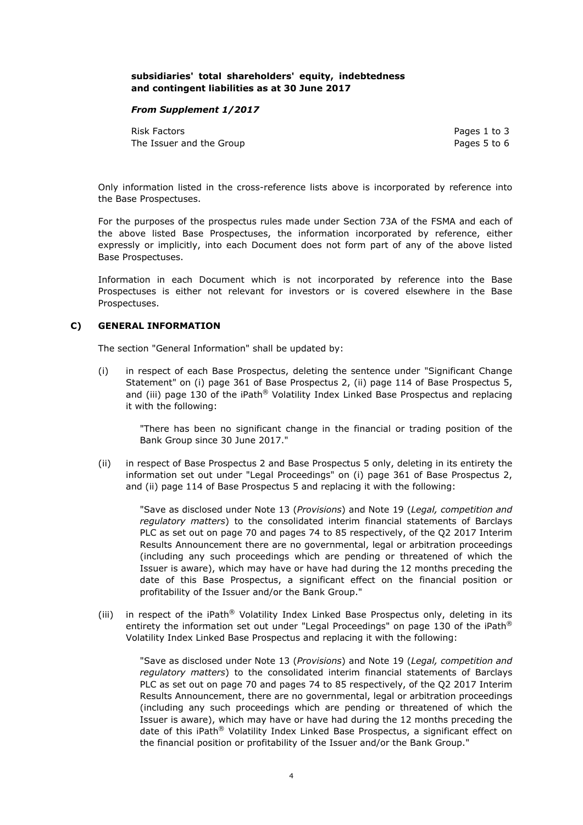### **subsidiaries' total shareholders' equity, indebtedness and contingent liabilities as at 30 June 2017**

### *From Supplement 1/2017*

Risk Factors **Pages 1** to 3 The Issuer and the Group **Pages 5** to 6

Only information listed in the cross-reference lists above is incorporated by reference into the Base Prospectuses.

For the purposes of the prospectus rules made under Section 73A of the FSMA and each of the above listed Base Prospectuses, the information incorporated by reference, either expressly or implicitly, into each Document does not form part of any of the above listed Base Prospectuses.

Information in each Document which is not incorporated by reference into the Base Prospectuses is either not relevant for investors or is covered elsewhere in the Base Prospectuses.

### **C) GENERAL INFORMATION**

The section "General Information" shall be updated by:

(i) in respect of each Base Prospectus, deleting the sentence under "Significant Change Statement" on (i) page 361 of Base Prospectus 2, (ii) page 114 of Base Prospectus 5, and (iii) page 130 of the iPath $^{\circ}$  Volatility Index Linked Base Prospectus and replacing it with the following:

"There has been no significant change in the financial or trading position of the Bank Group since 30 June 2017."

(ii) in respect of Base Prospectus 2 and Base Prospectus 5 only, deleting in its entirety the information set out under "Legal Proceedings" on (i) page 361 of Base Prospectus 2, and (ii) page 114 of Base Prospectus 5 and replacing it with the following:

"Save as disclosed under Note 13 (*Provisions*) and Note 19 (*Legal, competition and regulatory matters*) to the consolidated interim financial statements of Barclays PLC as set out on page 70 and pages 74 to 85 respectively, of the Q2 2017 Interim Results Announcement there are no governmental, legal or arbitration proceedings (including any such proceedings which are pending or threatened of which the Issuer is aware), which may have or have had during the 12 months preceding the date of this Base Prospectus, a significant effect on the financial position or profitability of the Issuer and/or the Bank Group."

(iii) in respect of the iPath® Volatility Index Linked Base Prospectus only, deleting in its entirety the information set out under "Legal Proceedings" on page 130 of the iPath® Volatility Index Linked Base Prospectus and replacing it with the following:

"Save as disclosed under Note 13 (*Provisions*) and Note 19 (*Legal, competition and regulatory matters*) to the consolidated interim financial statements of Barclays PLC as set out on page 70 and pages 74 to 85 respectively, of the Q2 2017 Interim Results Announcement, there are no governmental, legal or arbitration proceedings (including any such proceedings which are pending or threatened of which the Issuer is aware), which may have or have had during the 12 months preceding the date of this iPath® Volatility Index Linked Base Prospectus, a significant effect on the financial position or profitability of the Issuer and/or the Bank Group."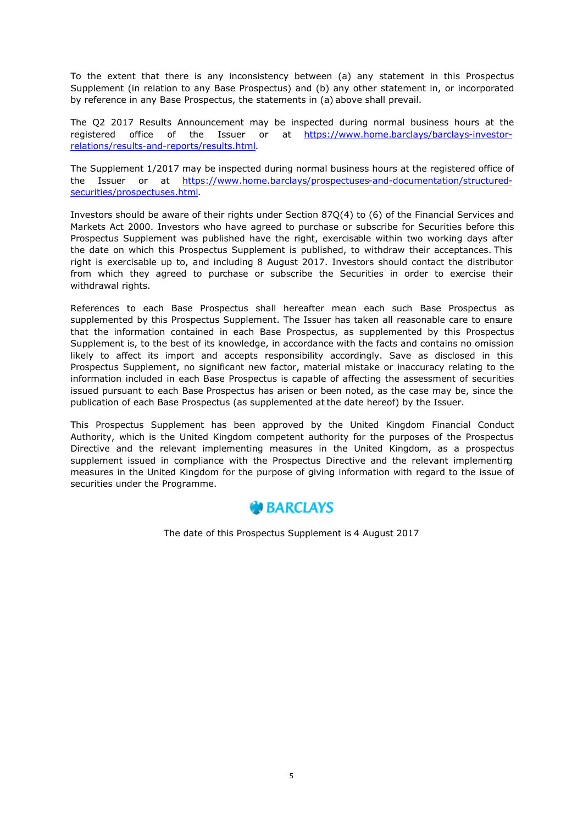To the extent that there is any inconsistency between (a) any statement in this Prospectus Supplement (in relation to any Base Prospectus) and (b) any other statement in, or incorporated by reference in any Base Prospectus, the statements in (a) above shall prevail.

The Q2 2017 Results Announcement may be inspected during normal business hours at the registered office of the Issuer or at https://www.home.barclays/barclays-investorrelations/results-and-reports/results.html.

The Supplement 1/2017 may be inspected during normal business hours at the registered office of the Issuer or at https://www.home.barclays/prospectuses-and-documentation/structuredsecurities/prospectuses.html.

Investors should be aware of their rights under Section 87Q(4) to (6) of the Financial Services and Markets Act 2000. Investors who have agreed to purchase or subscribe for Securities before this Prospectus Supplement was published have the right, exercisable within two working days after the date on which this Prospectus Supplement is published, to withdraw their acceptances. This right is exercisable up to, and including 8 August 2017. Investors should contact the distributor from which they agreed to purchase or subscribe the Securities in order to exercise their withdrawal rights.

References to each Base Prospectus shall hereafter mean each such Base Prospectus as supplemented by this Prospectus Supplement. The Issuer has taken all reasonable care to ensure that the information contained in each Base Prospectus, as supplemented by this Prospectus Supplement is, to the best of its knowledge, in accordance with the facts and contains no omission likely to affect its import and accepts responsibility accordingly. Save as disclosed in this Prospectus Supplement, no significant new factor, material mistake or inaccuracy relating to the information included in each Base Prospectus is capable of affecting the assessment of securities issued pursuant to each Base Prospectus has arisen or been noted, as the case may be, since the publication of each Base Prospectus (as supplemented at the date hereof) by the Issuer.

This Prospectus Supplement has been approved by the United Kingdom Financial Conduct Authority, which is the United Kingdom competent authority for the purposes of the Prospectus Directive and the relevant implementing measures in the United Kingdom, as a prospectus supplement issued in compliance with the Prospectus Directive and the relevant implementing measures in the United Kingdom for the purpose of giving information with regard to the issue of securities under the Programme.



The date of this Prospectus Supplement is 4 August 2017